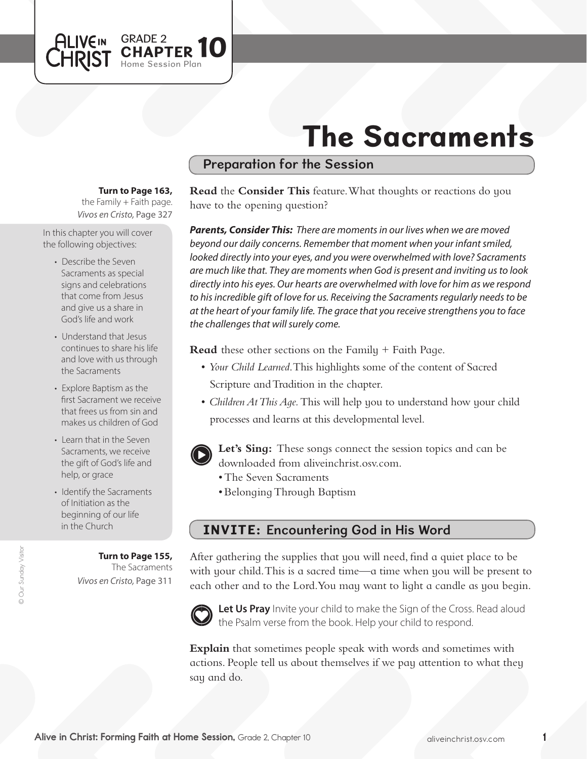# The Sacraments

## Preparation for the Session

#### **Turn to Page 163,**

GRADE 2

Home Session Plan

PTER 10

*Vivos en Cristo,* Page 327 the Family  $+$  Faith page.

In this chapter you will cover the following objectives:

**ALIVEIN LHRIST** 

- Describe the Seven Sacraments as special signs and celebrations that come from Jesus and give us a share in God's life and work
- Understand that Jesus continues to share his life and love with us through the Sacraments
- Explore Baptism as the first Sacrament we receive that frees us from sin and makes us children of God
- Learn that in the Seven Sacraments, we receive the gift of God's life and help, or grace
- Identify the Sacraments of Initiation as the beginning of our life in the Church

#### **Turn to Page 155,**

The Sacraments *Vivos en Cristo,* Page 311

**Read** the **Consider This** feature. What thoughts or reactions do you have to the opening question?

*Parents, Consider This: There are moments in our lives when we are moved beyond our daily concerns. Remember that moment when your infant smiled, looked directly into your eyes, and you were overwhelmed with love? Sacraments are much like that. They are moments when God is present and inviting us to look directly into his eyes. Our hearts are overwhelmed with love for him as we respond to his incredible gift of love for us. Receiving the Sacraments regularly needs to be at the heart of your family life. The grace that you receive strengthens you to face the challenges that will surely come.*

**Read** these other sections on the Family + Faith Page.

- • *Your Child Learned*. This highlights some of the content of Sacred Scripture and Tradition in the chapter.
- *Children At This Aqe*. This will help you to understand how your child processes and learns at this developmental level.



**Let's Sing:** These songs connect the session topics and can be downloaded from aliveinchrist.osv.com.

- The Seven Sacraments
- • BelongingThrough Baptism

# INVITE: Encountering God in His Word

After gathering the supplies that you will need, find a quiet place to be with your child. This is a sacred time—a time when you will be present to each other and to the Lord. You may want to light a candle as you begin.



Let Us Pray Invite your child to make the Sign of the Cross. Read aloud the Psalm verse from the book. Help your child to respond.

**Explain** that sometimes people speak with words and sometimes with actions. People tell us about themselves if we pay attention to what they say and do.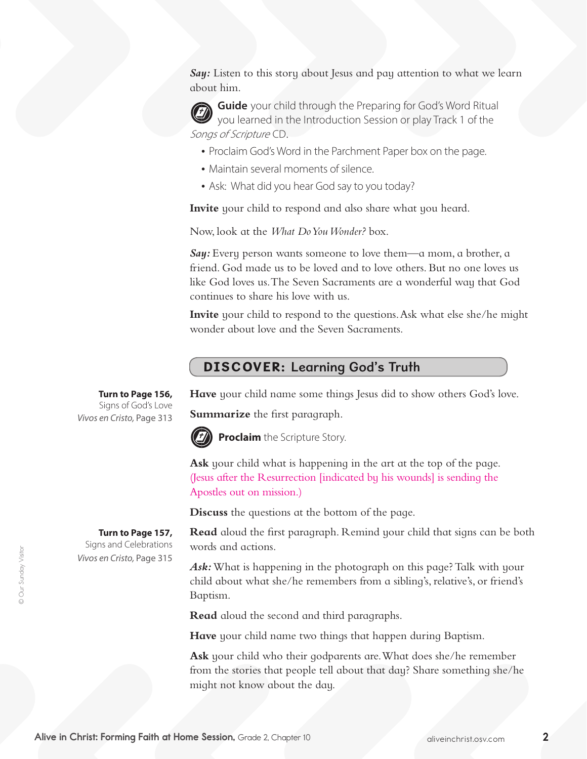**Say:** Listen to this story about Jesus and pay attention to what we learn about him.

**Guide** your child through the Preparing for God's Word Ritual you learned in the Introduction Session or play Track 1 of the Songs of Scripture CD.

- Proclaim God's Word in the Parchment Paper box on the page.
- Maintain several moments of silence.
- Ask: What did you hear God say to you today?

**Invite** your child to respond and also share what you heard.

Now, look at the *What Do You Wonder?* box.

*Say:* Every person wants someone to love them—a mom, a brother, a friend. God made us to be loved and to love others. But no one loves us like God loves us. The Seven Sacraments are a wonderful way that God continues to share his love with us.

**Invite** your child to respond to the questions. Ask what else she/he might wonder about love and the Seven Sacraments.

# DISCOVER: Learning God's Truth

**Have** your child name some things Jesus did to show others God's love.

**Summarize** the first paragraph.



**Proclaim** the Scripture Story.

**Ask** your child what is happening in the art at the top of the page. (Jesus after the Resurrection [indicated by his wounds] is sending the Apostles out on mission.)

**Discuss** the questions at the bottom of the page.

**Read** aloud the first paragraph. Remind your child that signs can be both words and actions.

*Ask:* What is happening in the photograph on this page? Talk with your child about what she/he remembers from a sibling's, relative's, or friend's Baptism.

**Read** aloud the second and third paragraphs.

**Have** your child name two things that happen during Baptism.

**Ask** your child who their godparents are. What does she/he remember from the stories that people tell about that day? Share something she/he might not know about the day.

**Turn to Page 156,** Signs of God's Love *Vivos en Cristo,* Page 313

**Turn to Page 157,**  Signs and Celebrations *Vivos en Cristo,* Page 315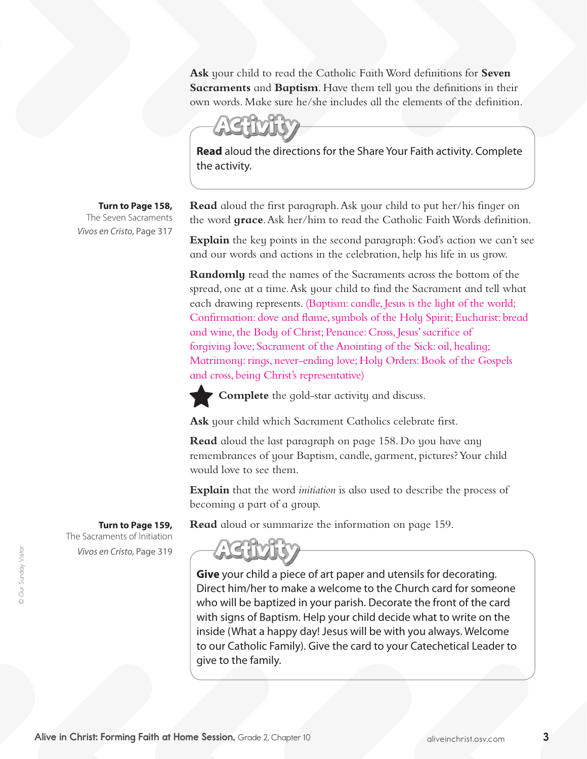**Ask** your child to read the Catholic Faith Word definitions for **Seven Sacraments** and **Baptism**. Have them tell you the definitions in their own words. Make sure he/she includes all the elements of the definition.

**Read** aloud the directions for the Share Your Faith activity. Complete the activity.

**Turn to Page 158,**

The Seven Sacraments *Vivos en Cristo,* Page 317

**Read** aloud the first paragraph. Ask your child to put her/his finger on the word **grace**. Ask her/him to read the Catholic Faith Words definition.

**Explain** the key points in the second paragraph: God's action we can't see and our words and actions in the celebration, help his life in us grow.

**Randomly** read the names of the Sacraments across the bottom of the spread, one at a time. Ask your child to find the Sacrament and tell what each drawing represents. (Baptism: candle, Jesus is the light of the world; Confirmation: dove and flame, symbols of the Holy Spirit; Eucharist: bread and wine, the Body of Christ; Penance: Cross, Jesus' sacrifice of forgiving love; Sacrament of the Anointing of the Sick: oil, healing; Matrimony: rings, never-ending love; Holy Orders: Book of the Gospels and cross, being Christ's representative)

**Complete** the gold-star activity and discuss.

**Ask** your child which Sacrament Catholics celebrate first.

**Read** aloud the last paragraph on page 158. Do you have any remembrances of your Baptism, candle, garment, pictures?Your child would love to see them.

**Explain** that the word *initiation* is also used to describe the process of becoming a part of a group.

**Read** aloud or summarize the information on page 159.

**Give** your child a piece of art paper and utensils for decorating. Direct him/her to make a welcome to the Church card for someone who will be baptized in your parish. Decorate the front of the card with signs of Baptism. Help your child decide what to write on the inside (What a happy day! Jesus will be with you always. Welcome to our Catholic Family). Give the card to your Catechetical Leader to give to the family.

**Turn to Page 159,** The Sacraments of Initiation

*Vivos en Cristo,* Page 319